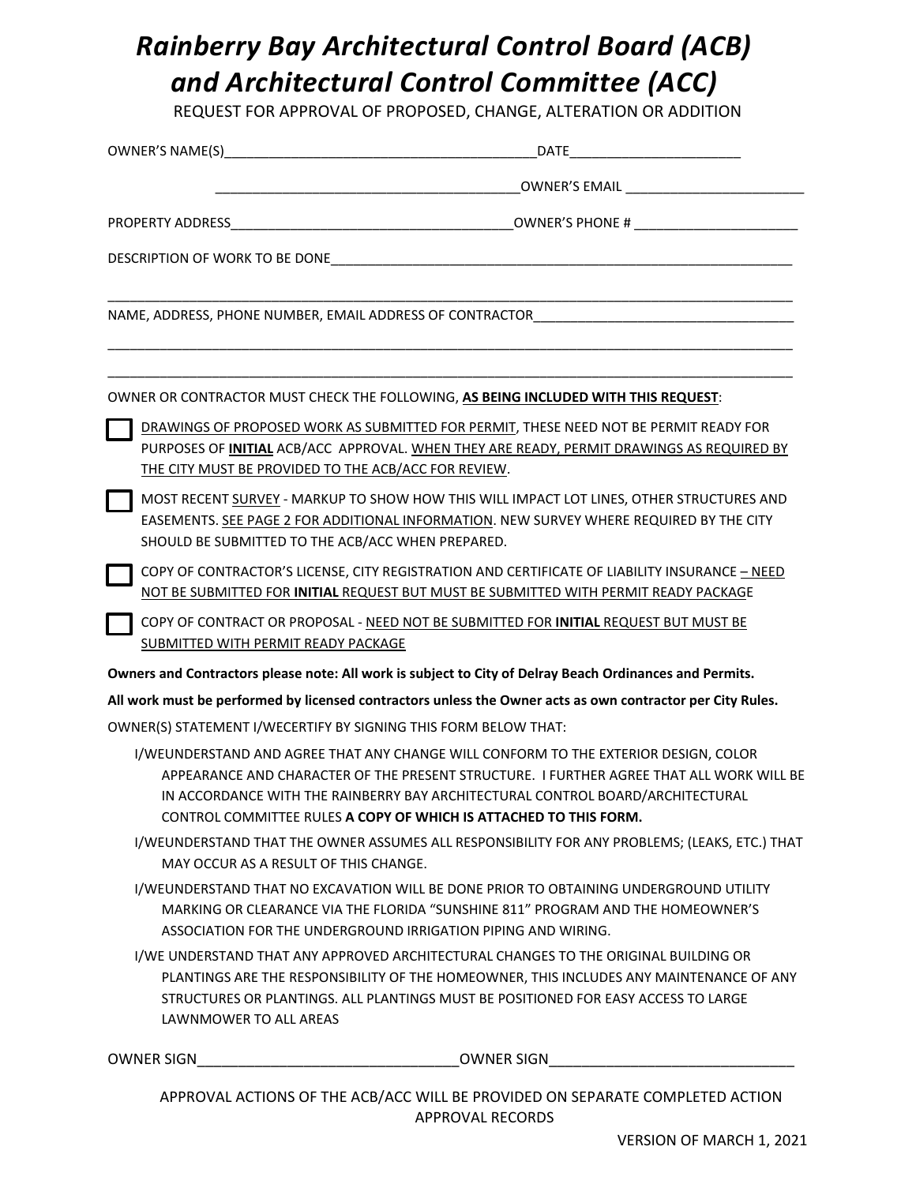## *Rainberry Bay Architectural Control Board (ACB) and Architectural Control Committee (ACC)*

REQUEST FOR APPROVAL OF PROPOSED, CHANGE, ALTERATION OR ADDITION

| <b>EXAMPLE 2008 COMPUTER'S EMAIL</b> And the computer of the computer of the computer of the computer of the computer of the computer of the computer of the computer of the computation of the computation of the computation of t                                                                                                    |
|----------------------------------------------------------------------------------------------------------------------------------------------------------------------------------------------------------------------------------------------------------------------------------------------------------------------------------------|
|                                                                                                                                                                                                                                                                                                                                        |
| DESCRIPTION OF WORK TO BE DONE THE RESERVE TO A RESERVE THE RESERVE TO A RESERVE THE RESERVE TO A RESERVE THE RESERVE TO A RESERVE THE RESERVE TO A RESERVE THE RESERVE THAT A RESERVE THAT A RESERVE THAT A RESERVE THAT A RE                                                                                                         |
|                                                                                                                                                                                                                                                                                                                                        |
| OWNER OR CONTRACTOR MUST CHECK THE FOLLOWING, AS BEING INCLUDED WITH THIS REQUEST:                                                                                                                                                                                                                                                     |
| DRAWINGS OF PROPOSED WORK AS SUBMITTED FOR PERMIT, THESE NEED NOT BE PERMIT READY FOR<br>PURPOSES OF INITIAL ACB/ACC APPROVAL. WHEN THEY ARE READY, PERMIT DRAWINGS AS REQUIRED BY<br>THE CITY MUST BE PROVIDED TO THE ACB/ACC FOR REVIEW.                                                                                             |
| MOST RECENT SURVEY - MARKUP TO SHOW HOW THIS WILL IMPACT LOT LINES, OTHER STRUCTURES AND<br>EASEMENTS. SEE PAGE 2 FOR ADDITIONAL INFORMATION. NEW SURVEY WHERE REQUIRED BY THE CITY<br>SHOULD BE SUBMITTED TO THE ACB/ACC WHEN PREPARED.                                                                                               |
| COPY OF CONTRACTOR'S LICENSE, CITY REGISTRATION AND CERTIFICATE OF LIABILITY INSURANCE - NEED<br>NOT BE SUBMITTED FOR INITIAL REQUEST BUT MUST BE SUBMITTED WITH PERMIT READY PACKAGE                                                                                                                                                  |
| COPY OF CONTRACT OR PROPOSAL - NEED NOT BE SUBMITTED FOR INITIAL REQUEST BUT MUST BE<br>SUBMITTED WITH PERMIT READY PACKAGE                                                                                                                                                                                                            |
| Owners and Contractors please note: All work is subject to City of Delray Beach Ordinances and Permits.                                                                                                                                                                                                                                |
| All work must be performed by licensed contractors unless the Owner acts as own contractor per City Rules.                                                                                                                                                                                                                             |
| OWNER(S) STATEMENT I/WECERTIFY BY SIGNING THIS FORM BELOW THAT:                                                                                                                                                                                                                                                                        |
| I/WEUNDERSTAND AND AGREE THAT ANY CHANGE WILL CONFORM TO THE EXTERIOR DESIGN, COLOR<br>APPEARANCE AND CHARACTER OF THE PRESENT STRUCTURE. I FURTHER AGREE THAT ALL WORK WILL BE<br>IN ACCORDANCE WITH THE RAINBERRY BAY ARCHITECTURAL CONTROL BOARD/ARCHITECTURAL<br>CONTROL COMMITTEE RULES A COPY OF WHICH IS ATTACHED TO THIS FORM. |
| I/WEUNDERSTAND THAT THE OWNER ASSUMES ALL RESPONSIBILITY FOR ANY PROBLEMS; (LEAKS, ETC.) THAT<br>MAY OCCUR AS A RESULT OF THIS CHANGE.                                                                                                                                                                                                 |
| I/WEUNDERSTAND THAT NO EXCAVATION WILL BE DONE PRIOR TO OBTAINING UNDERGROUND UTILITY<br>MARKING OR CLEARANCE VIA THE FLORIDA "SUNSHINE 811" PROGRAM AND THE HOMEOWNER'S<br>ASSOCIATION FOR THE UNDERGROUND IRRIGATION PIPING AND WIRING.                                                                                              |
| I/WE UNDERSTAND THAT ANY APPROVED ARCHITECTURAL CHANGES TO THE ORIGINAL BUILDING OR<br>PLANTINGS ARE THE RESPONSIBILITY OF THE HOMEOWNER, THIS INCLUDES ANY MAINTENANCE OF ANY<br>STRUCTURES OR PLANTINGS. ALL PLANTINGS MUST BE POSITIONED FOR EASY ACCESS TO LARGE<br>LAWNMOWER TO ALL AREAS                                         |
| OWNER SIGN<br>OWNER SIGN                                                                                                                                                                                                                                                                                                               |

APPROVAL ACTIONS OF THE ACB/ACC WILL BE PROVIDED ON SEPARATE COMPLETED ACTION APPROVAL RECORDS